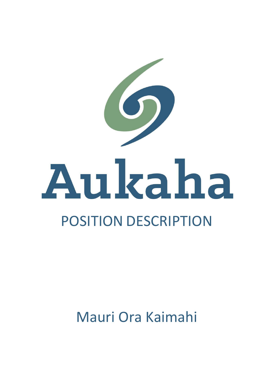

## Mauri Ora Kaimahi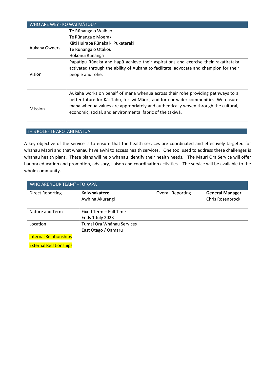| WHO ARE WE? - KO WAI MATOU? |                                                                                                                                                                                                                                                                                                                           |  |
|-----------------------------|---------------------------------------------------------------------------------------------------------------------------------------------------------------------------------------------------------------------------------------------------------------------------------------------------------------------------|--|
|                             | Te Rūnanga o Waihao                                                                                                                                                                                                                                                                                                       |  |
|                             | Te Rūnanga o Moeraki                                                                                                                                                                                                                                                                                                      |  |
|                             | Kāti Huirapa Rūnaka ki Puketeraki                                                                                                                                                                                                                                                                                         |  |
| Aukaha Owners               | Te Rūnanga o Ōtākou                                                                                                                                                                                                                                                                                                       |  |
|                             | Hokonui Rūnanga                                                                                                                                                                                                                                                                                                           |  |
| Vision                      | Papatipu Rūnaka and hapū achieve their aspirations and exercise their rakatirataka<br>activated through the ability of Aukaha to facilitate, advocate and champion for their<br>people and rohe.                                                                                                                          |  |
| <b>Mission</b>              | Aukaha works on behalf of mana whenua across their rohe providing pathways to a<br>better future for Kai Tahu, for iwi Maori, and for our wider communities. We ensure<br>mana whenua values are appropriately and authentically woven through the cultural,<br>economic, social, and environmental fabric of the takiwa. |  |

## THIS ROLE - TE AROTAHI MATUA

A key objective of the service is to ensure that the health services are coordinated and effectively targeted for whanau Maori and that whanau have awhi to access health services. One tool used to address these challenges is whanau health plans. These plans will help whanau identify their health needs. The Mauri Ora Service will offer hauora education and promotion, advisory, liaison and coordination activities. The service will be available to the whole community.

| WHO ARE YOUR TEAM? - TŌ KAPA  |                                                  |                          |                                                   |
|-------------------------------|--------------------------------------------------|--------------------------|---------------------------------------------------|
| <b>Direct Reporting</b>       | Kaiwhakatere<br>Awhina Akurangi                  | <b>Overall Reporting</b> | <b>General Manager</b><br><b>Chris Rosenbrock</b> |
| Nature and Term               | Fixed Term - Full Time<br>Ends 1 July 2023       |                          |                                                   |
| Location                      | Tumai Ora Whānau Services<br>East Otago / Oamaru |                          |                                                   |
| <b>Internal Relationships</b> |                                                  |                          |                                                   |
| <b>External Relationships</b> |                                                  |                          |                                                   |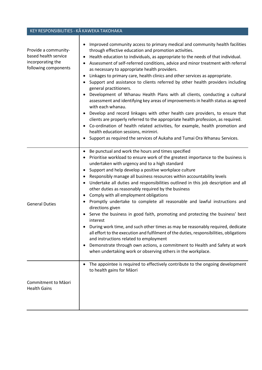## KEY RESPONSIBILITIES - KĀ KAWEKA TAKOHAKA

| Provide a community-<br>based health service<br>incorporating the<br>following components | Improved community access to primary medical and community health facilities<br>through effective education and promotion activities.<br>Health education to individuals, as appropriate to the needs of that individual.<br>Assessment of self-referred conditions, advice and minor treatment with referral<br>as necessary to appropriate health providers.<br>Linkages to primary care, health clinics and other services as appropriate.<br>Support and assistance to clients referred by other health providers including<br>general practitioners.<br>Development of Whanau Health Plans with all clients, conducting a cultural<br>assessment and identifying key areas of improvements in health status as agreed<br>with each whanau.<br>Develop and record linkages with other health care providers, to ensure that<br>clients are properly referred to the appropriate health profession, as required.<br>Co-ordination of health related activities, for example, health promotion and<br>health education sessions, mirimiri.<br>Support as required the services of Aukaha and Tumai Ora Whanau Services.                |
|-------------------------------------------------------------------------------------------|------------------------------------------------------------------------------------------------------------------------------------------------------------------------------------------------------------------------------------------------------------------------------------------------------------------------------------------------------------------------------------------------------------------------------------------------------------------------------------------------------------------------------------------------------------------------------------------------------------------------------------------------------------------------------------------------------------------------------------------------------------------------------------------------------------------------------------------------------------------------------------------------------------------------------------------------------------------------------------------------------------------------------------------------------------------------------------------------------------------------------------------|
| <b>General Duties</b>                                                                     | Be punctual and work the hours and times specified<br>$\bullet$<br>Prioritise workload to ensure work of the greatest importance to the business is<br>undertaken with urgency and to a high standard<br>Support and help develop a positive workplace culture<br>$\bullet$<br>Responsibly manage all business resources within accountability levels<br>Undertake all duties and responsibilities outlined in this job description and all<br>other duties as reasonably required by the business<br>Comply with all employment obligations<br>$\bullet$<br>Promptly undertake to complete all reasonable and lawful instructions and<br>$\bullet$<br>directions given<br>Serve the business in good faith, promoting and protecting the business' best<br>interest<br>During work time, and such other times as may be reasonably required, dedicate<br>all effort to the execution and fulfilment of the duties, responsibilities, obligations<br>and instructions related to employment<br>Demonstrate through own actions, a commitment to Health and Safety at work<br>when undertaking work or observing others in the workplace. |
| Commitment to Māori<br><b>Health Gains</b>                                                | The appointee is required to effectively contribute to the ongoing development<br>to health gains for Māori                                                                                                                                                                                                                                                                                                                                                                                                                                                                                                                                                                                                                                                                                                                                                                                                                                                                                                                                                                                                                              |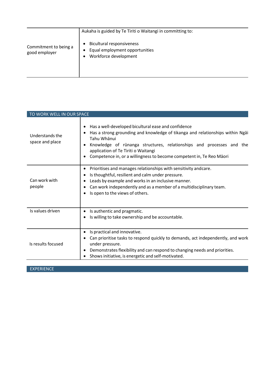|                                        | Aukaha is guided by Te Tiriti o Waitangi in committing to:                                               |
|----------------------------------------|----------------------------------------------------------------------------------------------------------|
| Commitment to being a<br>good employer | <b>Bicultural responsiveness</b><br>Equal employment opportunities<br>$\bullet$<br>Workforce development |

| TO WORK WELL IN OUR SPACE          |                                                                                                                                                                                                                                                                                                                                                      |  |
|------------------------------------|------------------------------------------------------------------------------------------------------------------------------------------------------------------------------------------------------------------------------------------------------------------------------------------------------------------------------------------------------|--|
| Understands the<br>space and place | Has a well-developed bicultural ease and confidence<br>٠<br>Has a strong grounding and knowledge of tikanga and relationships within Ngai<br>٠<br>Tahu Whānui<br>Knowledge of rūnanga structures, relationships and processes and the<br>application of Te Tiriti o Waitangi<br>Competence in, or a willingness to become competent in, Te Reo Māori |  |
| Can work with<br>people            | Prioritises and manages relationships with sensitivity andcare.<br>٠<br>Is thoughtful, resilient and calm under pressure.<br>٠<br>Leads by example and works in an inclusive manner.<br>Can work independently and as a member of a multidisciplinary team.<br>٠<br>Is open to the views of others.<br>٠                                             |  |
| Is values driven                   | Is authentic and pragmatic.<br>٠<br>Is willing to take ownership and be accountable.<br>٠                                                                                                                                                                                                                                                            |  |
| Is results focused                 | Is practical and innovative.<br>٠<br>Can prioritise tasks to respond quickly to demands, act independently, and work<br>٠<br>under pressure.<br>Demonstrates flexibility and can respond to changing needs and priorities.<br>٠<br>Shows initiative, is energetic and self-motivated.<br>٠                                                           |  |

EXPERIENCE